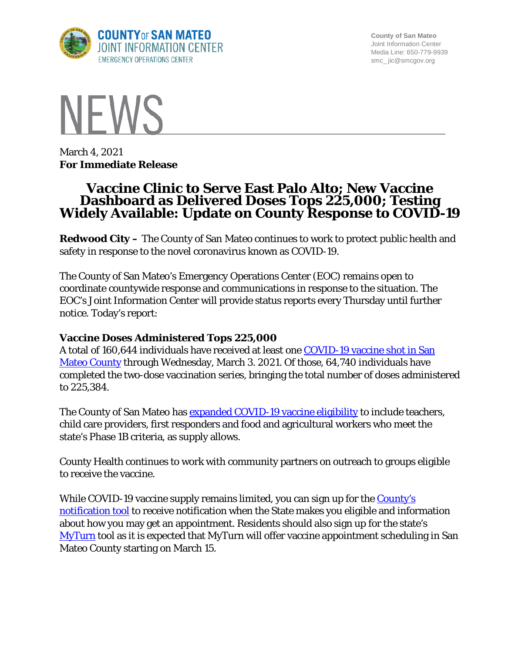

**County of San Mateo** Joint Information Center Media Line: 650-779-9939 smc\_ jic@smcgov.org



March 4, 2021 **For Immediate Release**

# **Vaccine Clinic to Serve East Palo Alto; New Vaccine Widely Available: Update on County Response to COVID-19**

**Redwood City –** The County of San Mateo continues to work to protect public health and safety in response to the novel coronavirus known as COVID-19.

The County of San Mateo's Emergency Operations Center (EOC) remains open to coordinate countywide response and communications in response to the situation. The EOC's Joint Information Center will provide status reports every Thursday until further notice. Today's report:

#### **Vaccine Doses Administered Tops 225,000**

A total of 160,644 individuals have received at least one [COVID-19 vaccine shot in San](https://www.smchealth.org/data-dashboard/vaccination-totals-locations-data)  [Mateo County](https://www.smchealth.org/data-dashboard/vaccination-totals-locations-data) through Wednesday, March 3. 2021. Of those, 64,740 individuals have completed the two-dose vaccination series, bringing the total number of doses administered to 225,384.

The County of San Mateo has **[expanded COVID-19 vaccine eligibility](https://www.smcgov.org/press-release/county-moves-expand-covid-19-vaccinations-eligible-essential-workers)** to include teachers, child care providers, first responders and food and agricultural workers who meet the state's Phase 1B criteria, as supply allows.

County Health continues to work with community partners on outreach to groups eligible to receive the vaccine.

While COVID-19 vaccine supply remains limited, you can sign up for the County's [notification tool](http://forms.office.com/Pages/ResponsePage.aspx?id=Nfb6DU2gzEin422hrwiD-S6Nu8Fm05tAlD6PWRPnVIxUOUo0N0NUM1VDRUtVMDlBMlZBNFFBOFVNVyQlQCN0PWcu&wdLOR=c539C3515-F3DE-944B-88F3-A8F48EC76AB3) to receive notification when the State makes you eligible and information about how you may get an appointment. Residents should also sign up for the state's [MyTurn](https://myturn.ca.gov/landing) tool as it is expected that MyTurn will offer vaccine appointment scheduling in San Mateo County starting on March 15.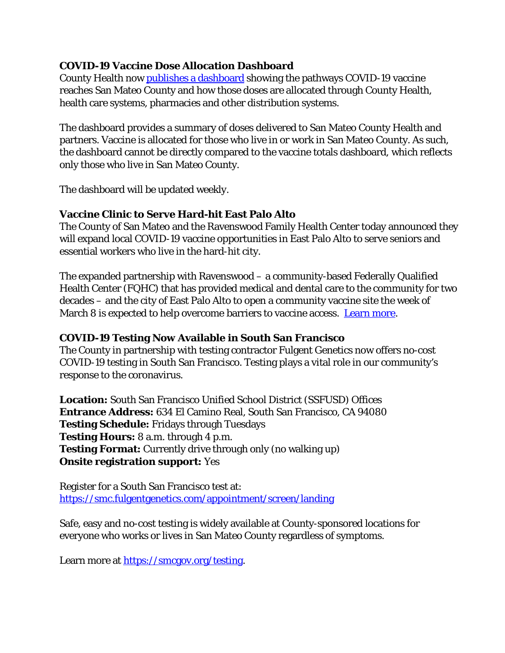### **COVID-19 Vaccine Dose Allocation Dashboard**

County Health now [publishes a dashboard](https://www.smchealth.org/data-dashboard/vaccine-dose-allocation) showing the pathways COVID-19 vaccine reaches San Mateo County and how those doses are allocated through County Health, health care systems, pharmacies and other distribution systems.

The dashboard provides a summary of doses delivered to San Mateo County Health and partners. Vaccine is allocated for those who live in or work in San Mateo County. As such, the dashboard cannot be directly compared to the vaccine totals dashboard, which reflects only those who live in San Mateo County.

The dashboard will be updated weekly.

## **Vaccine Clinic to Serve Hard-hit East Palo Alto**

The County of San Mateo and the Ravenswood Family Health Center today announced they will expand local COVID-19 vaccine opportunities in East Palo Alto to serve seniors and essential workers who live in the hard-hit city.

The expanded partnership with Ravenswood – a community-based Federally Qualified Health Center (FQHC) that has provided medical and dental care to the community for two decades – and the city of East Palo Alto to open a community vaccine site the week of March 8 is expected to help overcome barriers to vaccine access. [Learn more.](https://www.smcgov.org/press-release/confronting-covid-19-vaccine-clinic-serve-hard-hit-east-palo-alto)

#### **COVID-19 Testing Now Available in South San Francisco**

The County in partnership with testing contractor Fulgent Genetics now offers no-cost COVID-19 testing in South San Francisco. Testing plays a vital role in our community's response to the coronavirus.

**Location:** South San Francisco Unified School District (SSFUSD) Offices **Entrance Address:** 634 El Camino Real, South San Francisco, CA 94080 **Testing Schedule:** Fridays through Tuesdays **Testing Hours:** 8 a.m. through 4 p.m. **Testing Format:** Currently drive through only (no walking up) **Onsite registration support:** Yes

Register for a South San Francisco test at: <https://smc.fulgentgenetics.com/appointment/screen/landing>

Safe, easy and no-cost testing is widely available at County-sponsored locations for everyone who works or lives in San Mateo County regardless of symptoms.

Learn more at [https://smcgov.org/testing.](https://smcgov.org/testing)